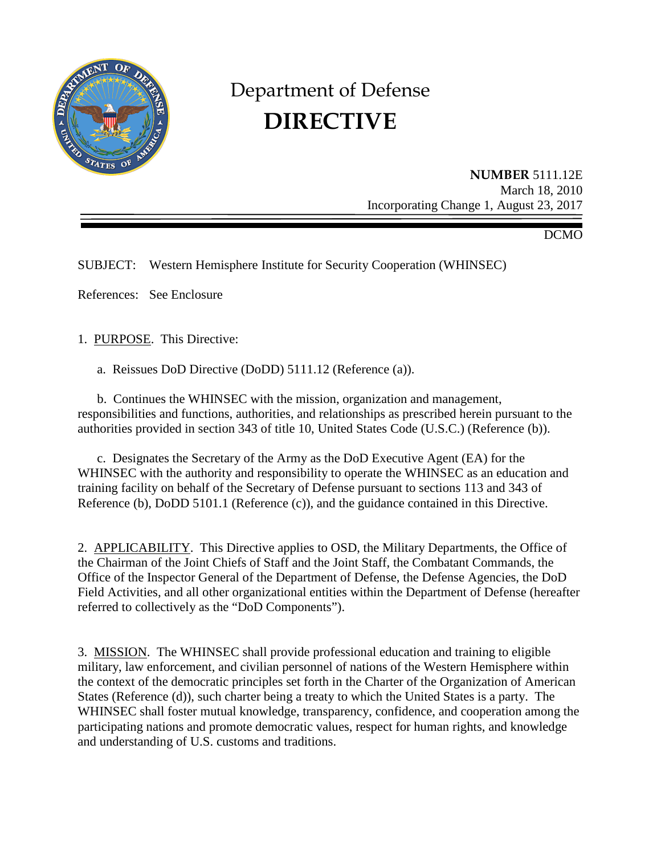

# Department of Defense **DIRECTIVE**

**NUMBER** 5111.12E March 18, 2010 Incorporating Change 1, August 23, 2017

DCMO

SUBJECT: Western Hemisphere Institute for Security Cooperation (WHINSEC)

References: See Enclosure

1. PURPOSE. This Directive:

a. Reissues DoD Directive (DoDD) 5111.12 (Reference (a)).

 b. Continues the WHINSEC with the mission, organization and management, responsibilities and functions, authorities, and relationships as prescribed herein pursuant to the authorities provided in section 343 of title 10, United States Code (U.S.C.) (Reference (b)).

c. Designates the Secretary of the Army as the DoD Executive Agent (EA) for the WHINSEC with the authority and responsibility to operate the WHINSEC as an education and training facility on behalf of the Secretary of Defense pursuant to sections 113 and 343 of Reference (b), DoDD 5101.1 (Reference (c)), and the guidance contained in this Directive.

2. APPLICABILITY. This Directive applies to OSD, the Military Departments, the Office of the Chairman of the Joint Chiefs of Staff and the Joint Staff, the Combatant Commands, the Office of the Inspector General of the Department of Defense, the Defense Agencies, the DoD Field Activities, and all other organizational entities within the Department of Defense (hereafter referred to collectively as the "DoD Components").

3. MISSION. The WHINSEC shall provide professional education and training to eligible military, law enforcement, and civilian personnel of nations of the Western Hemisphere within the context of the democratic principles set forth in the Charter of the Organization of American States (Reference (d)), such charter being a treaty to which the United States is a party. The WHINSEC shall foster mutual knowledge, transparency, confidence, and cooperation among the participating nations and promote democratic values, respect for human rights, and knowledge and understanding of U.S. customs and traditions.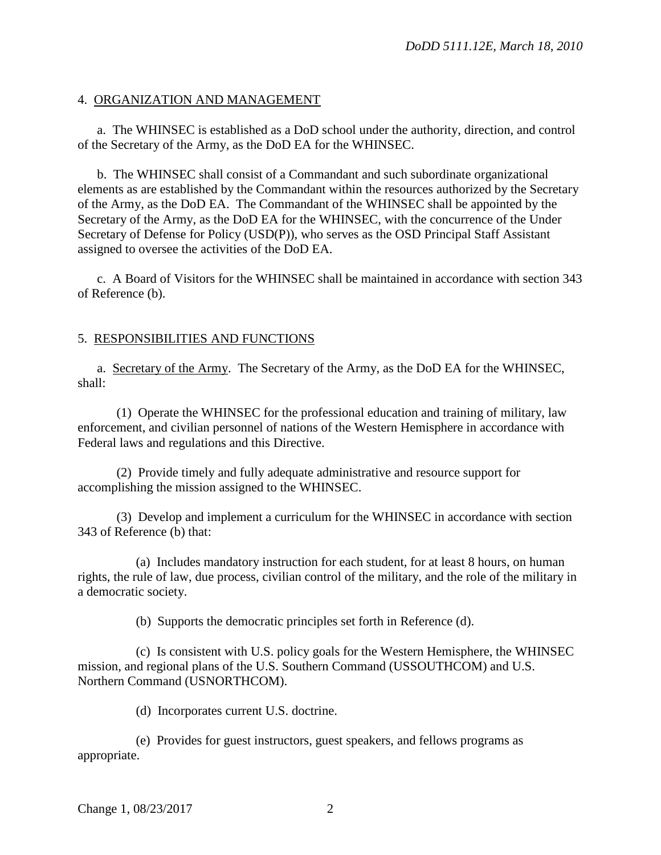## 4. ORGANIZATION AND MANAGEMENT

 a. The WHINSEC is established as a DoD school under the authority, direction, and control of the Secretary of the Army, as the DoD EA for the WHINSEC.

 b. The WHINSEC shall consist of a Commandant and such subordinate organizational elements as are established by the Commandant within the resources authorized by the Secretary of the Army, as the DoD EA. The Commandant of the WHINSEC shall be appointed by the Secretary of the Army, as the DoD EA for the WHINSEC, with the concurrence of the Under Secretary of Defense for Policy (USD(P)), who serves as the OSD Principal Staff Assistant assigned to oversee the activities of the DoD EA.

c. A Board of Visitors for the WHINSEC shall be maintained in accordance with section 343 of Reference (b).

## 5. RESPONSIBILITIES AND FUNCTIONS

a. Secretary of the Army. The Secretary of the Army, as the DoD EA for the WHINSEC, shall:

 (1) Operate the WHINSEC for the professional education and training of military, law enforcement, and civilian personnel of nations of the Western Hemisphere in accordance with Federal laws and regulations and this Directive.

 (2) Provide timely and fully adequate administrative and resource support for accomplishing the mission assigned to the WHINSEC.

 (3) Develop and implement a curriculum for the WHINSEC in accordance with section 343 of Reference (b) that:

 (a) Includes mandatory instruction for each student, for at least 8 hours, on human rights, the rule of law, due process, civilian control of the military, and the role of the military in a democratic society.

(b) Supports the democratic principles set forth in Reference (d).

 (c) Is consistent with U.S. policy goals for the Western Hemisphere, the WHINSEC mission, and regional plans of the U.S. Southern Command (USSOUTHCOM) and U.S. Northern Command (USNORTHCOM).

(d) Incorporates current U.S. doctrine.

 (e) Provides for guest instructors, guest speakers, and fellows programs as appropriate.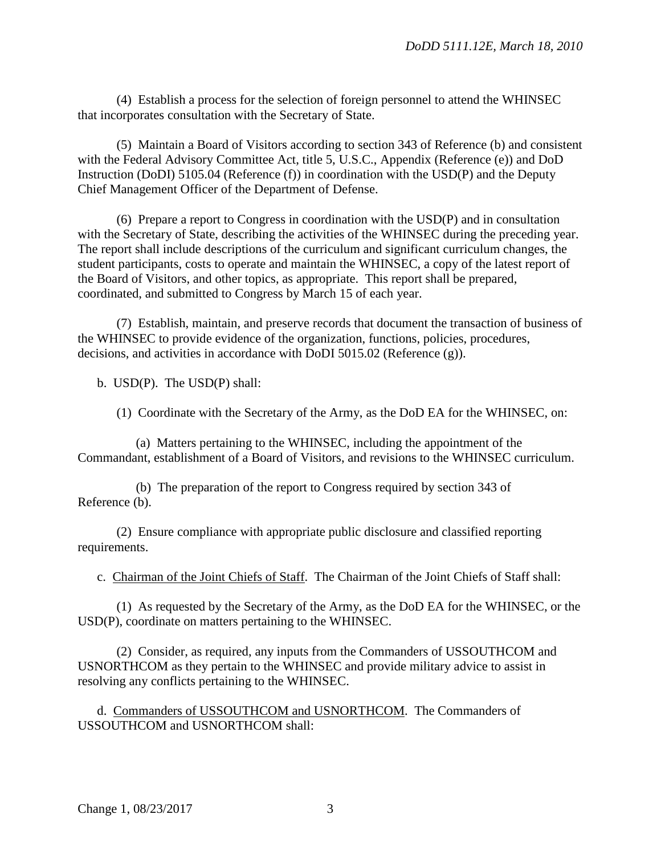(4) Establish a process for the selection of foreign personnel to attend the WHINSEC that incorporates consultation with the Secretary of State.

 (5) Maintain a Board of Visitors according to section 343 of Reference (b) and consistent with the Federal Advisory Committee Act, title 5, U.S.C., Appendix (Reference (e)) and DoD Instruction (DoDI) 5105.04 (Reference (f)) in coordination with the USD(P) and the Deputy Chief Management Officer of the Department of Defense.

 (6) Prepare a report to Congress in coordination with the USD(P) and in consultation with the Secretary of State, describing the activities of the WHINSEC during the preceding year. The report shall include descriptions of the curriculum and significant curriculum changes, the student participants, costs to operate and maintain the WHINSEC, a copy of the latest report of the Board of Visitors, and other topics, as appropriate. This report shall be prepared, coordinated, and submitted to Congress by March 15 of each year.

 (7) Establish, maintain, and preserve records that document the transaction of business of the WHINSEC to provide evidence of the organization, functions, policies, procedures, decisions, and activities in accordance with DoDI 5015.02 (Reference (g)).

b. USD(P). The USD(P) shall:

(1) Coordinate with the Secretary of the Army, as the DoD EA for the WHINSEC, on:

 (a) Matters pertaining to the WHINSEC, including the appointment of the Commandant, establishment of a Board of Visitors, and revisions to the WHINSEC curriculum.

 (b) The preparation of the report to Congress required by section 343 of Reference (b).

 (2) Ensure compliance with appropriate public disclosure and classified reporting requirements.

c. Chairman of the Joint Chiefs of Staff. The Chairman of the Joint Chiefs of Staff shall:

 (1) As requested by the Secretary of the Army, as the DoD EA for the WHINSEC, or the USD(P), coordinate on matters pertaining to the WHINSEC.

 (2) Consider, as required, any inputs from the Commanders of USSOUTHCOM and USNORTHCOM as they pertain to the WHINSEC and provide military advice to assist in resolving any conflicts pertaining to the WHINSEC.

 d. Commanders of USSOUTHCOM and USNORTHCOM. The Commanders of USSOUTHCOM and USNORTHCOM shall: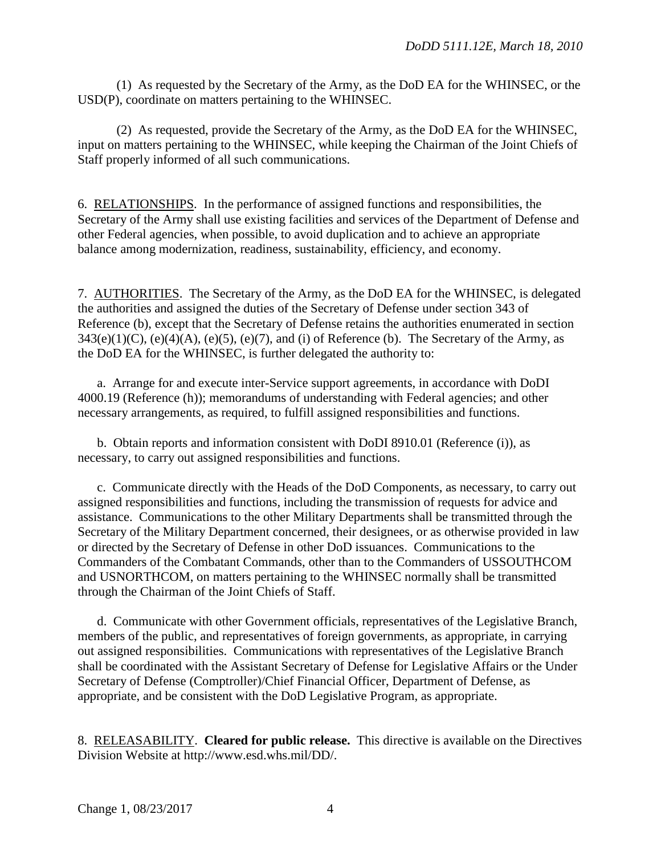(1) As requested by the Secretary of the Army, as the DoD EA for the WHINSEC, or the USD(P), coordinate on matters pertaining to the WHINSEC.

(2) As requested, provide the Secretary of the Army, as the DoD EA for the WHINSEC, input on matters pertaining to the WHINSEC, while keeping the Chairman of the Joint Chiefs of Staff properly informed of all such communications.

6. RELATIONSHIPS. In the performance of assigned functions and responsibilities, the Secretary of the Army shall use existing facilities and services of the Department of Defense and other Federal agencies, when possible, to avoid duplication and to achieve an appropriate balance among modernization, readiness, sustainability, efficiency, and economy.

7. AUTHORITIES. The Secretary of the Army, as the DoD EA for the WHINSEC, is delegated the authorities and assigned the duties of the Secretary of Defense under section 343 of Reference (b), except that the Secretary of Defense retains the authorities enumerated in section  $343(e)(1)(C)$ ,  $(e)(4)(A)$ ,  $(e)(5)$ ,  $(e)(7)$ , and (i) of Reference (b). The Secretary of the Army, as the DoD EA for the WHINSEC, is further delegated the authority to:

a. Arrange for and execute inter-Service support agreements, in accordance with DoDI 4000.19 (Reference (h)); memorandums of understanding with Federal agencies; and other necessary arrangements, as required, to fulfill assigned responsibilities and functions.

b. Obtain reports and information consistent with DoDI 8910.01 (Reference (i)), as necessary, to carry out assigned responsibilities and functions.

c. Communicate directly with the Heads of the DoD Components, as necessary, to carry out assigned responsibilities and functions, including the transmission of requests for advice and assistance. Communications to the other Military Departments shall be transmitted through the Secretary of the Military Department concerned, their designees, or as otherwise provided in law or directed by the Secretary of Defense in other DoD issuances. Communications to the Commanders of the Combatant Commands, other than to the Commanders of USSOUTHCOM and USNORTHCOM, on matters pertaining to the WHINSEC normally shall be transmitted through the Chairman of the Joint Chiefs of Staff.

d. Communicate with other Government officials, representatives of the Legislative Branch, members of the public, and representatives of foreign governments, as appropriate, in carrying out assigned responsibilities. Communications with representatives of the Legislative Branch shall be coordinated with the Assistant Secretary of Defense for Legislative Affairs or the Under Secretary of Defense (Comptroller)/Chief Financial Officer, Department of Defense, as appropriate, and be consistent with the DoD Legislative Program, as appropriate.

8. RELEASABILITY. **Cleared for public release.** This directive is available on the Directives Division Website at http://www.esd.whs.mil/DD/.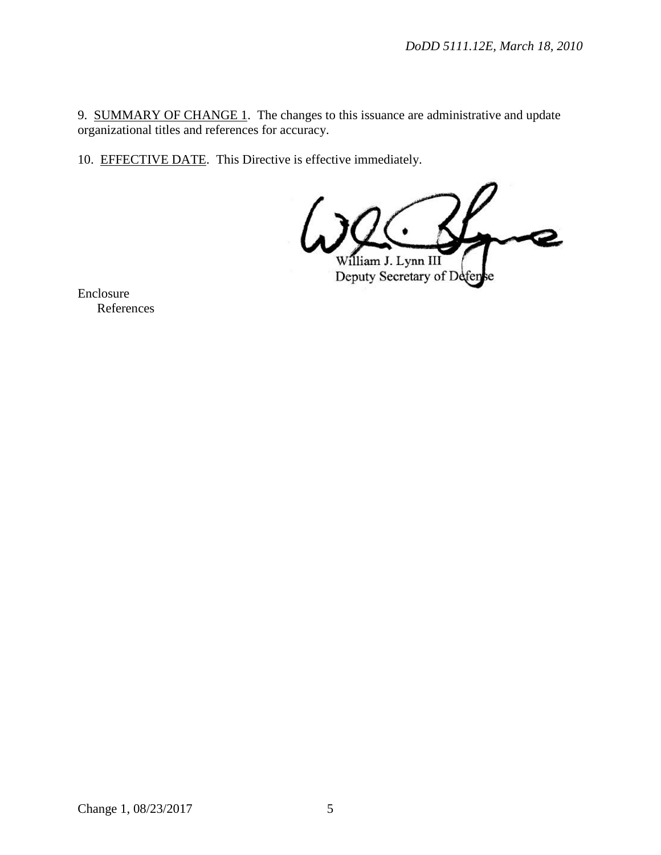9. SUMMARY OF CHANGE 1. The changes to this issuance are administrative and update organizational titles and references for accuracy.

10. EFFECTIVE DATE. This Directive is effective immediately.

William J. Lynn III

Deputy Secretary of Defen sе

Enclosure References